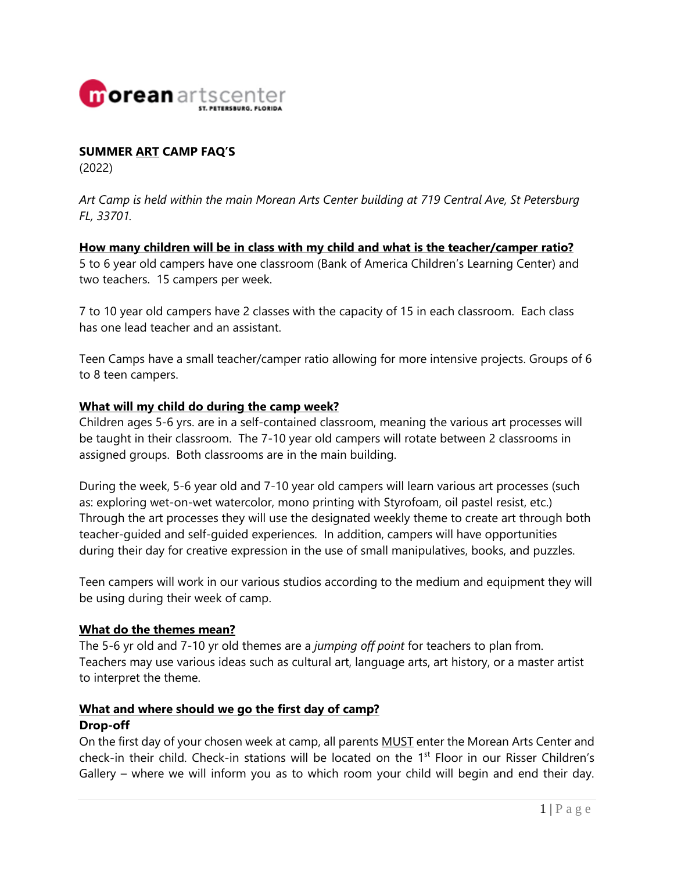

#### **SUMMER ART CAMP FAQ'S**

(2022)

*Art Camp is held within the main Morean Arts Center building at 719 Central Ave, St Petersburg FL, 33701.*

**How many children will be in class with my child and what is the teacher/camper ratio?** 5 to 6 year old campers have one classroom (Bank of America Children's Learning Center) and two teachers. 15 campers per week.

7 to 10 year old campers have 2 classes with the capacity of 15 in each classroom. Each class has one lead teacher and an assistant.

Teen Camps have a small teacher/camper ratio allowing for more intensive projects. Groups of 6 to 8 teen campers.

#### **What will my child do during the camp week?**

Children ages 5-6 yrs. are in a self-contained classroom, meaning the various art processes will be taught in their classroom. The 7-10 year old campers will rotate between 2 classrooms in assigned groups. Both classrooms are in the main building.

During the week, 5-6 year old and 7-10 year old campers will learn various art processes (such as: exploring wet-on-wet watercolor, mono printing with Styrofoam, oil pastel resist, etc.) Through the art processes they will use the designated weekly theme to create art through both teacher-guided and self-guided experiences. In addition, campers will have opportunities during their day for creative expression in the use of small manipulatives, books, and puzzles.

Teen campers will work in our various studios according to the medium and equipment they will be using during their week of camp.

#### **What do the themes mean?**

The 5-6 yr old and 7-10 yr old themes are a *jumping off point* for teachers to plan from. Teachers may use various ideas such as cultural art, language arts, art history, or a master artist to interpret the theme.

# **What and where should we go the first day of camp?**

#### **Drop-off**

On the first day of your chosen week at camp, all parents MUST enter the Morean Arts Center and check-in their child. Check-in stations will be located on the 1<sup>st</sup> Floor in our Risser Children's Gallery – where we will inform you as to which room your child will begin and end their day.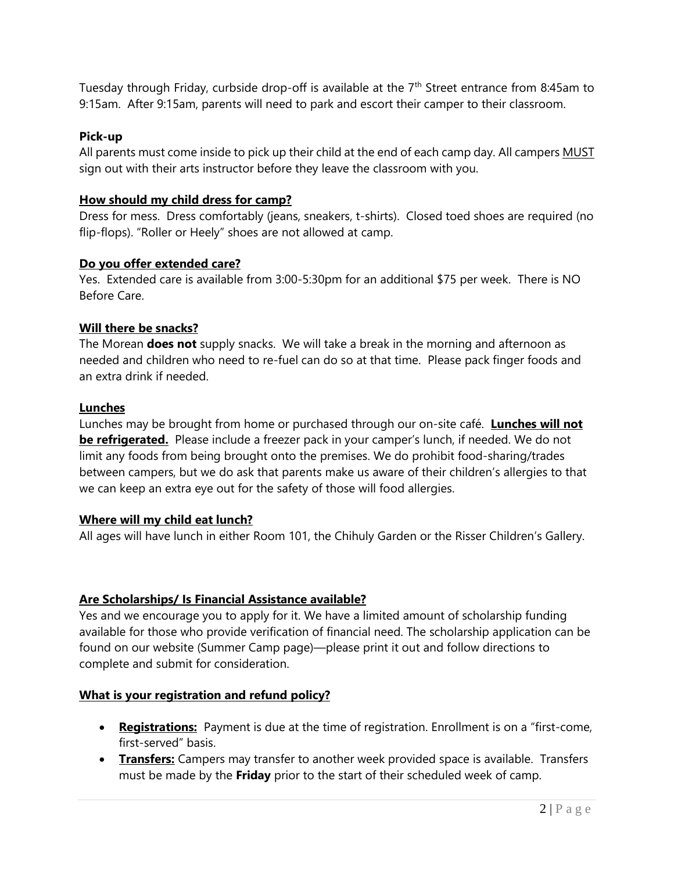Tuesday through Friday, curbside drop-off is available at the  $7<sup>th</sup>$  Street entrance from 8:45am to 9:15am. After 9:15am, parents will need to park and escort their camper to their classroom.

### **Pick-up**

All parents must come inside to pick up their child at the end of each camp day. All campers MUST sign out with their arts instructor before they leave the classroom with you.

## **How should my child dress for camp?**

Dress for mess. Dress comfortably (jeans, sneakers, t-shirts). Closed toed shoes are required (no flip-flops). "Roller or Heely" shoes are not allowed at camp.

### **Do you offer extended care?**

Yes. Extended care is available from 3:00-5:30pm for an additional \$75 per week. There is NO Before Care.

## **Will there be snacks?**

The Morean **does not** supply snacks. We will take a break in the morning and afternoon as needed and children who need to re-fuel can do so at that time. Please pack finger foods and an extra drink if needed.

## **Lunches**

Lunches may be brought from home or purchased through our on-site café. **Lunches will not be refrigerated.** Please include a freezer pack in your camper's lunch, if needed. We do not limit any foods from being brought onto the premises. We do prohibit food-sharing/trades between campers, but we do ask that parents make us aware of their children's allergies to that we can keep an extra eye out for the safety of those will food allergies.

## **Where will my child eat lunch?**

All ages will have lunch in either Room 101, the Chihuly Garden or the Risser Children's Gallery.

### **Are Scholarships/ Is Financial Assistance available?**

Yes and we encourage you to apply for it. We have a limited amount of scholarship funding available for those who provide verification of financial need. The scholarship application can be found on our website (Summer Camp page)—please print it out and follow directions to complete and submit for consideration.

## **What is your registration and refund policy?**

- **Registrations:** Payment is due at the time of registration. Enrollment is on a "first-come, first-served" basis.
- **Transfers:** Campers may transfer to another week provided space is available. Transfers must be made by the **Friday** prior to the start of their scheduled week of camp.